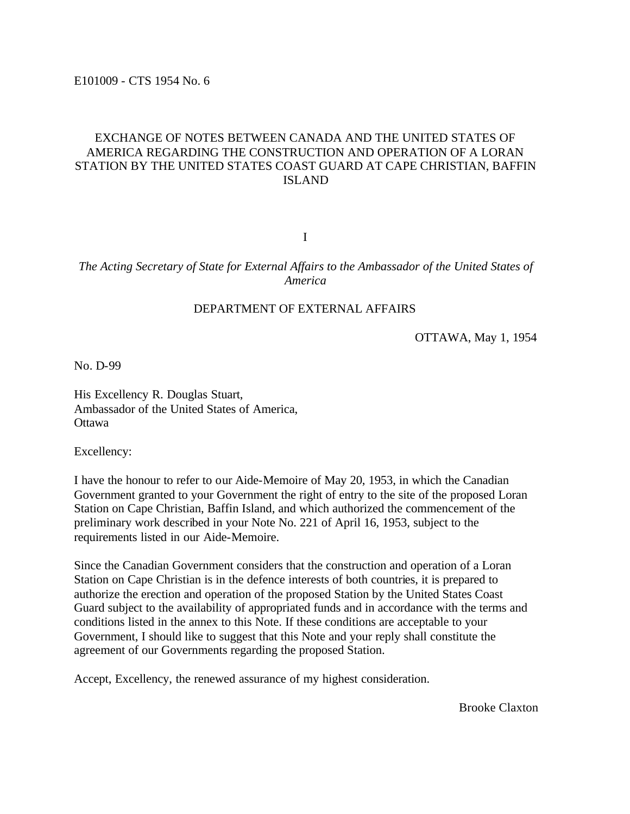E101009 - CTS 1954 No. 6

# EXCHANGE OF NOTES BETWEEN CANADA AND THE UNITED STATES OF AMERICA REGARDING THE CONSTRUCTION AND OPERATION OF A LORAN STATION BY THE UNITED STATES COAST GUARD AT CAPE CHRISTIAN, BAFFIN ISLAND

I

#### *The Acting Secretary of State for External Affairs to the Ambassador of the United States of America*

# DEPARTMENT OF EXTERNAL AFFAIRS

OTTAWA, May 1, 1954

No. D-99

His Excellency R. Douglas Stuart, Ambassador of the United States of America, **Ottawa** 

Excellency:

I have the honour to refer to our Aide-Memoire of May 20, 1953, in which the Canadian Government granted to your Government the right of entry to the site of the proposed Loran Station on Cape Christian, Baffin Island, and which authorized the commencement of the preliminary work described in your Note No. 221 of April 16, 1953, subject to the requirements listed in our Aide-Memoire.

Since the Canadian Government considers that the construction and operation of a Loran Station on Cape Christian is in the defence interests of both countries, it is prepared to authorize the erection and operation of the proposed Station by the United States Coast Guard subject to the availability of appropriated funds and in accordance with the terms and conditions listed in the annex to this Note. If these conditions are acceptable to your Government, I should like to suggest that this Note and your reply shall constitute the agreement of our Governments regarding the proposed Station.

Accept, Excellency, the renewed assurance of my highest consideration.

Brooke Claxton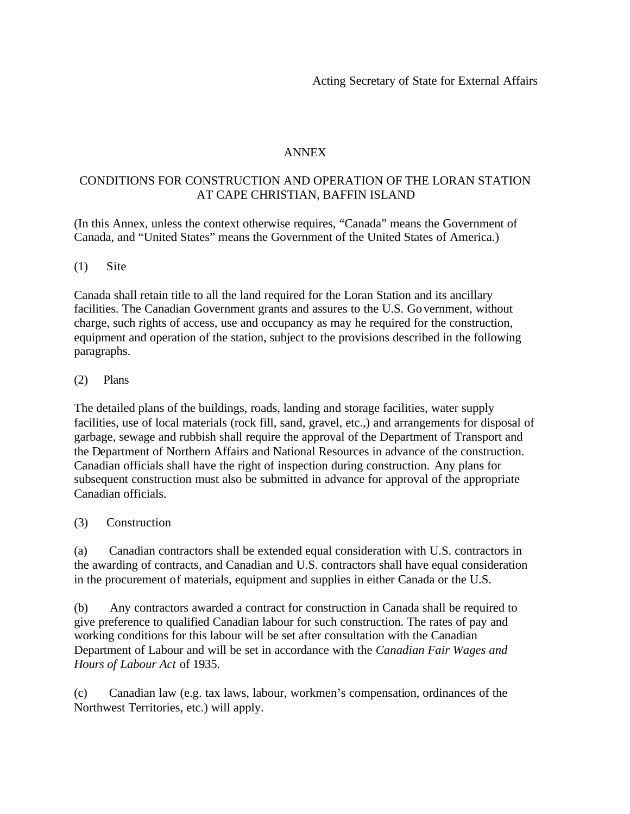# ANNEX

# CONDITIONS FOR CONSTRUCTION AND OPERATION OF THE LORAN STATION AT CAPE CHRISTIAN, BAFFIN ISLAND

(In this Annex, unless the context otherwise requires, "Canada" means the Government of Canada, and "United States" means the Government of the United States of America.)

### (1) Site

Canada shall retain title to all the land required for the Loran Station and its ancillary facilities. The Canadian Government grants and assures to the U.S. Government, without charge, such rights of access, use and occupancy as may he required for the construction, equipment and operation of the station, subject to the provisions described in the following paragraphs.

#### (2) Plans

The detailed plans of the buildings, roads, landing and storage facilities, water supply facilities, use of local materials (rock fill, sand, gravel, etc.,) and arrangements for disposal of garbage, sewage and rubbish shall require the approval of the Department of Transport and the Department of Northern Affairs and National Resources in advance of the construction. Canadian officials shall have the right of inspection during construction. Any plans for subsequent construction must also be submitted in advance for approval of the appropriate Canadian officials.

### (3) Construction

(a) Canadian contractors shall be extended equal consideration with U.S. contractors in the awarding of contracts, and Canadian and U.S. contractors shall have equal consideration in the procurement of materials, equipment and supplies in either Canada or the U.S.

(b) Any contractors awarded a contract for construction in Canada shall be required to give preference to qualified Canadian labour for such construction. The rates of pay and working conditions for this labour will be set after consultation with the Canadian Department of Labour and will be set in accordance with the *Canadian Fair Wages and Hours of Labour Act* of 1935.

(c) Canadian law (e.g. tax laws, labour, workmen's compensation, ordinances of the Northwest Territories, etc.) will apply.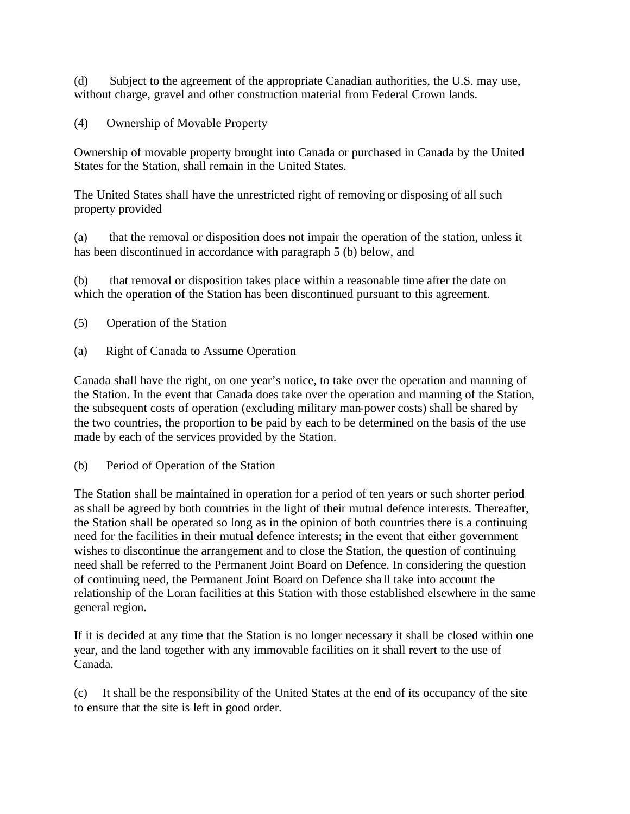(d) Subject to the agreement of the appropriate Canadian authorities, the U.S. may use, without charge, gravel and other construction material from Federal Crown lands.

(4) Ownership of Movable Property

Ownership of movable property brought into Canada or purchased in Canada by the United States for the Station, shall remain in the United States.

The United States shall have the unrestricted right of removing or disposing of all such property provided

(a) that the removal or disposition does not impair the operation of the station, unless it has been discontinued in accordance with paragraph 5 (b) below, and

(b) that removal or disposition takes place within a reasonable time after the date on which the operation of the Station has been discontinued pursuant to this agreement.

(5) Operation of the Station

(a) Right of Canada to Assume Operation

Canada shall have the right, on one year's notice, to take over the operation and manning of the Station. In the event that Canada does take over the operation and manning of the Station, the subsequent costs of operation (excluding military man-power costs) shall be shared by the two countries, the proportion to be paid by each to be determined on the basis of the use made by each of the services provided by the Station.

(b) Period of Operation of the Station

The Station shall be maintained in operation for a period of ten years or such shorter period as shall be agreed by both countries in the light of their mutual defence interests. Thereafter, the Station shall be operated so long as in the opinion of both countries there is a continuing need for the facilities in their mutual defence interests; in the event that either government wishes to discontinue the arrangement and to close the Station, the question of continuing need shall be referred to the Permanent Joint Board on Defence. In considering the question of continuing need, the Permanent Joint Board on Defence sha ll take into account the relationship of the Loran facilities at this Station with those established elsewhere in the same general region.

If it is decided at any time that the Station is no longer necessary it shall be closed within one year, and the land together with any immovable facilities on it shall revert to the use of Canada.

(c) It shall be the responsibility of the United States at the end of its occupancy of the site to ensure that the site is left in good order.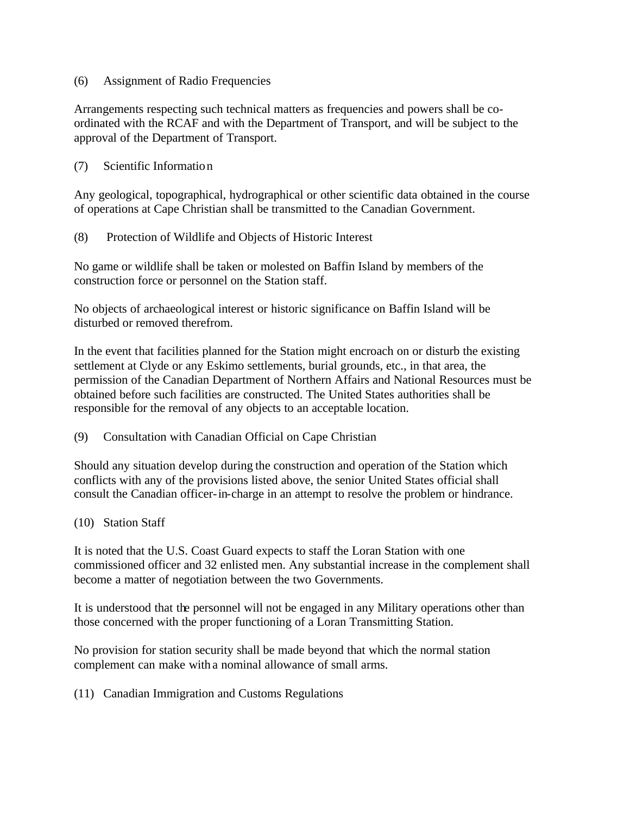#### (6) Assignment of Radio Frequencies

Arrangements respecting such technical matters as frequencies and powers shall be coordinated with the RCAF and with the Department of Transport, and will be subject to the approval of the Department of Transport.

(7) Scientific Information

Any geological, topographical, hydrographical or other scientific data obtained in the course of operations at Cape Christian shall be transmitted to the Canadian Government.

(8) Protection of Wildlife and Objects of Historic Interest

No game or wildlife shall be taken or molested on Baffin Island by members of the construction force or personnel on the Station staff.

No objects of archaeological interest or historic significance on Baffin Island will be disturbed or removed therefrom.

In the event that facilities planned for the Station might encroach on or disturb the existing settlement at Clyde or any Eskimo settlements, burial grounds, etc., in that area, the permission of the Canadian Department of Northern Affairs and National Resources must be obtained before such facilities are constructed. The United States authorities shall be responsible for the removal of any objects to an acceptable location.

(9) Consultation with Canadian Official on Cape Christian

Should any situation develop during the construction and operation of the Station which conflicts with any of the provisions listed above, the senior United States official shall consult the Canadian officer-in-charge in an attempt to resolve the problem or hindrance.

### (10) Station Staff

It is noted that the U.S. Coast Guard expects to staff the Loran Station with one commissioned officer and 32 enlisted men. Any substantial increase in the complement shall become a matter of negotiation between the two Governments.

It is understood that the personnel will not be engaged in any Military operations other than those concerned with the proper functioning of a Loran Transmitting Station.

No provision for station security shall be made beyond that which the normal station complement can make with a nominal allowance of small arms.

(11) Canadian Immigration and Customs Regulations